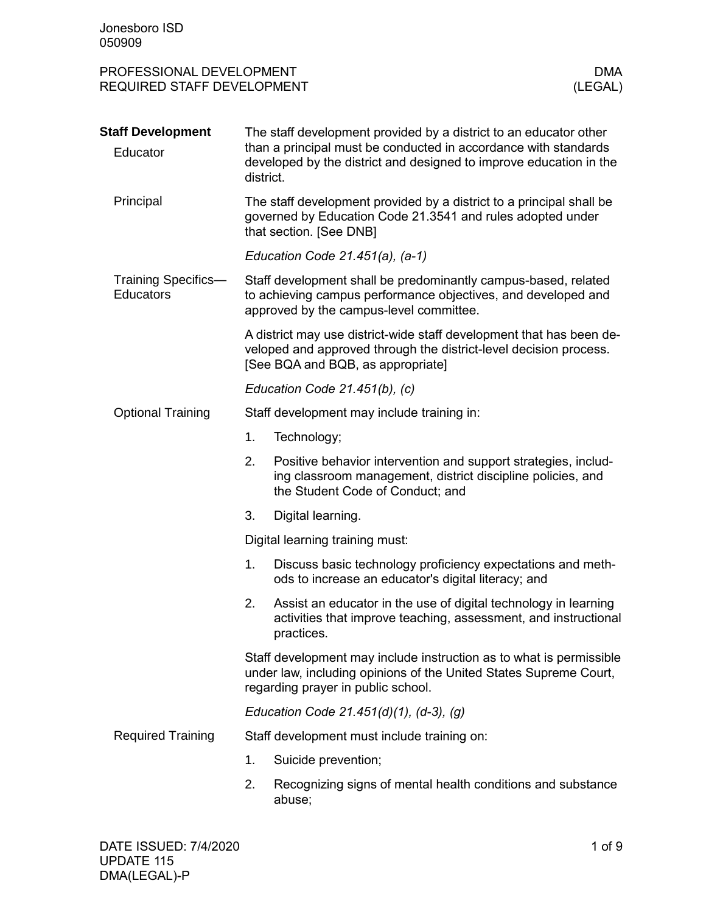| PROFESSIONAL DEVELOPMENT   | DMA     |
|----------------------------|---------|
| REQUIRED STAFF DEVELOPMENT | (LEGAL) |

| <b>Staff Development</b><br>Educator           | The staff development provided by a district to an educator other<br>than a principal must be conducted in accordance with standards<br>developed by the district and designed to improve education in the<br>district. |                                                                                                                                                                                |  |  |  |  |
|------------------------------------------------|-------------------------------------------------------------------------------------------------------------------------------------------------------------------------------------------------------------------------|--------------------------------------------------------------------------------------------------------------------------------------------------------------------------------|--|--|--|--|
| Principal                                      |                                                                                                                                                                                                                         | The staff development provided by a district to a principal shall be<br>governed by Education Code 21.3541 and rules adopted under<br>that section. [See DNB]                  |  |  |  |  |
|                                                |                                                                                                                                                                                                                         | Education Code $21.451(a)$ , $(a-1)$                                                                                                                                           |  |  |  |  |
| <b>Training Specifics-</b><br><b>Educators</b> |                                                                                                                                                                                                                         | Staff development shall be predominantly campus-based, related<br>to achieving campus performance objectives, and developed and<br>approved by the campus-level committee.     |  |  |  |  |
|                                                |                                                                                                                                                                                                                         | A district may use district-wide staff development that has been de-<br>veloped and approved through the district-level decision process.<br>[See BQA and BQB, as appropriate] |  |  |  |  |
|                                                |                                                                                                                                                                                                                         | Education Code 21.451(b), (c)                                                                                                                                                  |  |  |  |  |
| <b>Optional Training</b>                       |                                                                                                                                                                                                                         | Staff development may include training in:                                                                                                                                     |  |  |  |  |
|                                                | 1.                                                                                                                                                                                                                      | Technology;                                                                                                                                                                    |  |  |  |  |
|                                                | 2.                                                                                                                                                                                                                      | Positive behavior intervention and support strategies, includ-<br>ing classroom management, district discipline policies, and<br>the Student Code of Conduct; and              |  |  |  |  |
|                                                | 3.                                                                                                                                                                                                                      | Digital learning.                                                                                                                                                              |  |  |  |  |
|                                                | Digital learning training must:                                                                                                                                                                                         |                                                                                                                                                                                |  |  |  |  |
|                                                | 1.                                                                                                                                                                                                                      | Discuss basic technology proficiency expectations and meth-<br>ods to increase an educator's digital literacy; and                                                             |  |  |  |  |
|                                                | 2.                                                                                                                                                                                                                      | Assist an educator in the use of digital technology in learning<br>activities that improve teaching, assessment, and instructional<br>practices.                               |  |  |  |  |
|                                                |                                                                                                                                                                                                                         | Staff development may include instruction as to what is permissible<br>under law, including opinions of the United States Supreme Court,<br>regarding prayer in public school. |  |  |  |  |
|                                                |                                                                                                                                                                                                                         | Education Code 21.451(d)(1), (d-3), (g)                                                                                                                                        |  |  |  |  |
| <b>Required Training</b>                       |                                                                                                                                                                                                                         | Staff development must include training on:                                                                                                                                    |  |  |  |  |
|                                                | 1.                                                                                                                                                                                                                      | Suicide prevention;                                                                                                                                                            |  |  |  |  |
|                                                | 2.                                                                                                                                                                                                                      | Recognizing signs of mental health conditions and substance<br>abuse;                                                                                                          |  |  |  |  |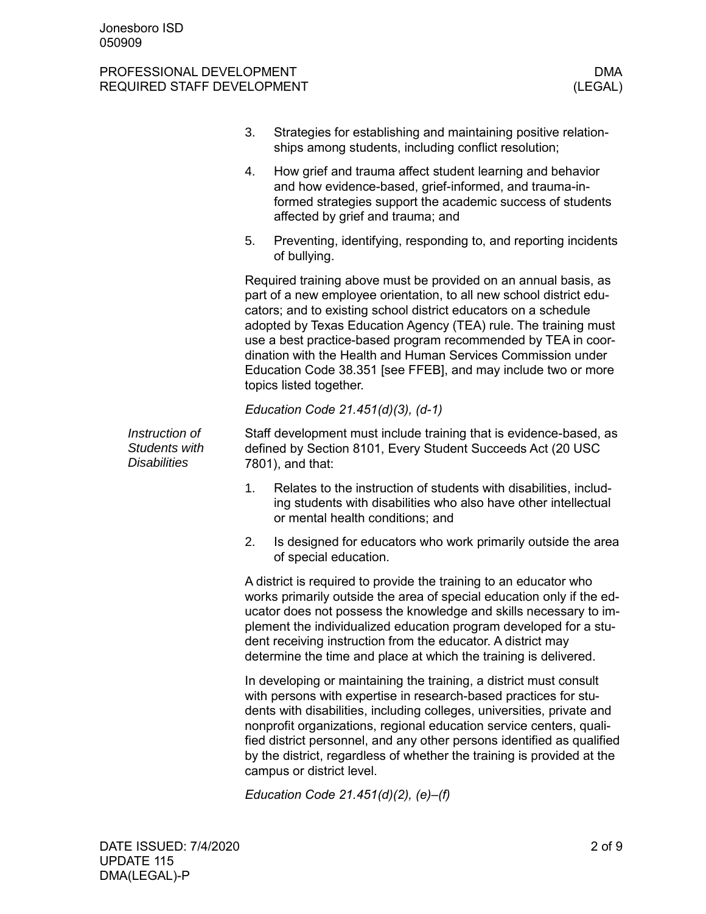|                                                        | 3. | Strategies for establishing and maintaining positive relation-<br>ships among students, including conflict resolution;                                                                                                                                                                                                                                                                                                                                                                                    |
|--------------------------------------------------------|----|-----------------------------------------------------------------------------------------------------------------------------------------------------------------------------------------------------------------------------------------------------------------------------------------------------------------------------------------------------------------------------------------------------------------------------------------------------------------------------------------------------------|
|                                                        | 4. | How grief and trauma affect student learning and behavior<br>and how evidence-based, grief-informed, and trauma-in-<br>formed strategies support the academic success of students<br>affected by grief and trauma; and                                                                                                                                                                                                                                                                                    |
|                                                        | 5. | Preventing, identifying, responding to, and reporting incidents<br>of bullying.                                                                                                                                                                                                                                                                                                                                                                                                                           |
|                                                        |    | Required training above must be provided on an annual basis, as<br>part of a new employee orientation, to all new school district edu-<br>cators; and to existing school district educators on a schedule<br>adopted by Texas Education Agency (TEA) rule. The training must<br>use a best practice-based program recommended by TEA in coor-<br>dination with the Health and Human Services Commission under<br>Education Code 38.351 [see FFEB], and may include two or more<br>topics listed together. |
|                                                        |    | Education Code 21.451(d)(3), (d-1)                                                                                                                                                                                                                                                                                                                                                                                                                                                                        |
| Instruction of<br>Students with<br><b>Disabilities</b> |    | Staff development must include training that is evidence-based, as<br>defined by Section 8101, Every Student Succeeds Act (20 USC)<br>7801), and that:                                                                                                                                                                                                                                                                                                                                                    |
|                                                        | 1. | Relates to the instruction of students with disabilities, includ-<br>ing students with disabilities who also have other intellectual<br>or mental health conditions; and                                                                                                                                                                                                                                                                                                                                  |
|                                                        | 2. | Is designed for educators who work primarily outside the area<br>of special education.                                                                                                                                                                                                                                                                                                                                                                                                                    |
|                                                        |    | A district is required to provide the training to an educator who<br>works primarily outside the area of special education only if the ed-<br>ucator does not possess the knowledge and skills necessary to im-<br>plement the individualized education program developed for a stu-<br>dent receiving instruction from the educator. A district may<br>determine the time and place at which the training is delivered.                                                                                  |
|                                                        |    | In developing or maintaining the training, a district must consult<br>with persons with expertise in research-based practices for stu-<br>dents with disabilities, including colleges, universities, private and<br>nonprofit organizations, regional education service centers, quali-<br>fied district personnel, and any other persons identified as qualified<br>by the district, regardless of whether the training is provided at the<br>campus or district level.                                  |
|                                                        |    | Education Code $21.451(d)(2)$ , (e)-(f)                                                                                                                                                                                                                                                                                                                                                                                                                                                                   |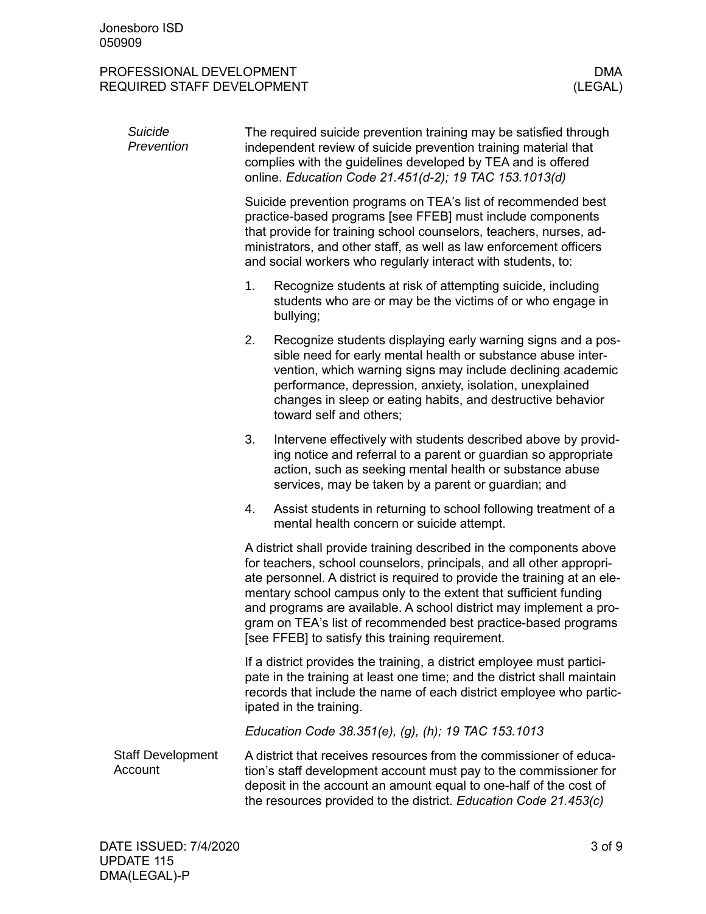| Suicide<br>Prevention               | The required suicide prevention training may be satisfied through<br>independent review of suicide prevention training material that<br>complies with the guidelines developed by TEA and is offered<br>online. Education Code 21.451(d-2); 19 TAC 153.1013(d)                                                                                                                                                                                                                          |  |  |  |  |
|-------------------------------------|-----------------------------------------------------------------------------------------------------------------------------------------------------------------------------------------------------------------------------------------------------------------------------------------------------------------------------------------------------------------------------------------------------------------------------------------------------------------------------------------|--|--|--|--|
|                                     | Suicide prevention programs on TEA's list of recommended best<br>practice-based programs [see FFEB] must include components<br>that provide for training school counselors, teachers, nurses, ad-<br>ministrators, and other staff, as well as law enforcement officers<br>and social workers who regularly interact with students, to:                                                                                                                                                 |  |  |  |  |
|                                     | 1.<br>Recognize students at risk of attempting suicide, including<br>students who are or may be the victims of or who engage in<br>bullying;                                                                                                                                                                                                                                                                                                                                            |  |  |  |  |
|                                     | 2.<br>Recognize students displaying early warning signs and a pos-<br>sible need for early mental health or substance abuse inter-<br>vention, which warning signs may include declining academic<br>performance, depression, anxiety, isolation, unexplained<br>changes in sleep or eating habits, and destructive behavior<br>toward self and others;                                                                                                                                 |  |  |  |  |
|                                     | 3.<br>Intervene effectively with students described above by provid-<br>ing notice and referral to a parent or guardian so appropriate<br>action, such as seeking mental health or substance abuse<br>services, may be taken by a parent or guardian; and                                                                                                                                                                                                                               |  |  |  |  |
|                                     | Assist students in returning to school following treatment of a<br>4.<br>mental health concern or suicide attempt.                                                                                                                                                                                                                                                                                                                                                                      |  |  |  |  |
|                                     | A district shall provide training described in the components above<br>for teachers, school counselors, principals, and all other appropri-<br>ate personnel. A district is required to provide the training at an ele-<br>mentary school campus only to the extent that sufficient funding<br>and programs are available. A school district may implement a pro-<br>gram on TEA's list of recommended best practice-based programs<br>[see FFEB] to satisfy this training requirement. |  |  |  |  |
|                                     | If a district provides the training, a district employee must partici-<br>pate in the training at least one time; and the district shall maintain<br>records that include the name of each district employee who partic-<br>ipated in the training.                                                                                                                                                                                                                                     |  |  |  |  |
|                                     | Education Code 38.351(e), (g), (h); 19 TAC 153.1013                                                                                                                                                                                                                                                                                                                                                                                                                                     |  |  |  |  |
| <b>Staff Development</b><br>Account | A district that receives resources from the commissioner of educa-<br>tion's staff development account must pay to the commissioner for<br>deposit in the account an amount equal to one-half of the cost of<br>the resources provided to the district. Education Code 21.453(c)                                                                                                                                                                                                        |  |  |  |  |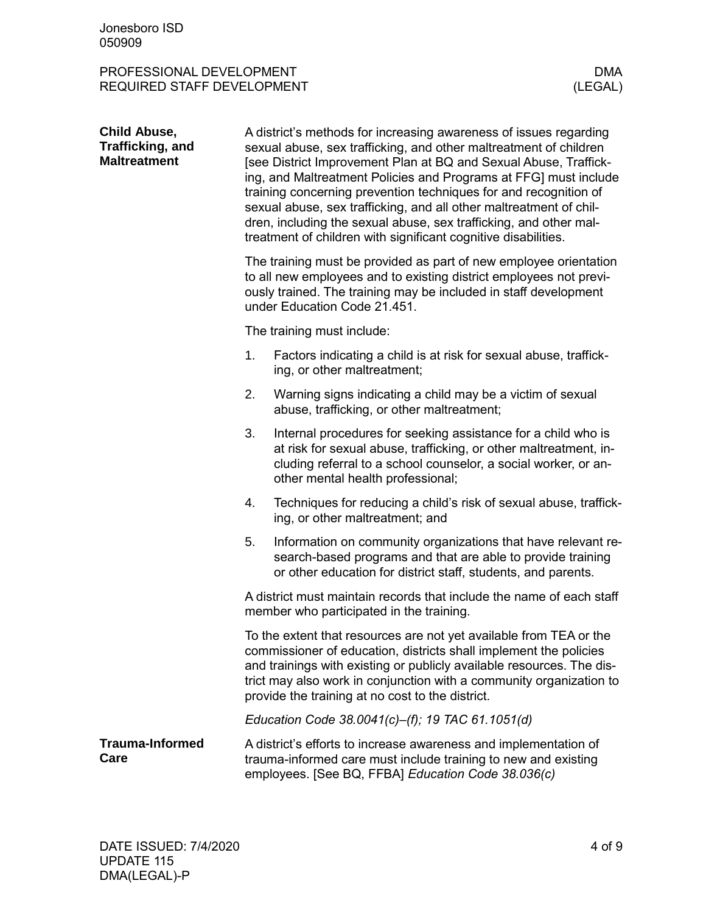| <b>Child Abuse,</b><br>Trafficking, and<br><b>Maltreatment</b> | A district's methods for increasing awareness of issues regarding<br>sexual abuse, sex trafficking, and other maltreatment of children<br>[see District Improvement Plan at BQ and Sexual Abuse, Traffick-<br>ing, and Maltreatment Policies and Programs at FFG] must include<br>training concerning prevention techniques for and recognition of<br>sexual abuse, sex trafficking, and all other maltreatment of chil-<br>dren, including the sexual abuse, sex trafficking, and other mal-<br>treatment of children with significant cognitive disabilities. |                                                                                                                                                                                                                                                                                                                                             |  |  |
|----------------------------------------------------------------|-----------------------------------------------------------------------------------------------------------------------------------------------------------------------------------------------------------------------------------------------------------------------------------------------------------------------------------------------------------------------------------------------------------------------------------------------------------------------------------------------------------------------------------------------------------------|---------------------------------------------------------------------------------------------------------------------------------------------------------------------------------------------------------------------------------------------------------------------------------------------------------------------------------------------|--|--|
|                                                                |                                                                                                                                                                                                                                                                                                                                                                                                                                                                                                                                                                 | The training must be provided as part of new employee orientation<br>to all new employees and to existing district employees not previ-<br>ously trained. The training may be included in staff development<br>under Education Code 21.451.                                                                                                 |  |  |
|                                                                |                                                                                                                                                                                                                                                                                                                                                                                                                                                                                                                                                                 | The training must include:                                                                                                                                                                                                                                                                                                                  |  |  |
|                                                                | 1.                                                                                                                                                                                                                                                                                                                                                                                                                                                                                                                                                              | Factors indicating a child is at risk for sexual abuse, traffick-<br>ing, or other maltreatment;                                                                                                                                                                                                                                            |  |  |
|                                                                | 2.                                                                                                                                                                                                                                                                                                                                                                                                                                                                                                                                                              | Warning signs indicating a child may be a victim of sexual<br>abuse, trafficking, or other maltreatment;                                                                                                                                                                                                                                    |  |  |
|                                                                | 3.                                                                                                                                                                                                                                                                                                                                                                                                                                                                                                                                                              | Internal procedures for seeking assistance for a child who is<br>at risk for sexual abuse, trafficking, or other maltreatment, in-<br>cluding referral to a school counselor, a social worker, or an-<br>other mental health professional;                                                                                                  |  |  |
|                                                                | 4.                                                                                                                                                                                                                                                                                                                                                                                                                                                                                                                                                              | Techniques for reducing a child's risk of sexual abuse, traffick-<br>ing, or other maltreatment; and                                                                                                                                                                                                                                        |  |  |
|                                                                | 5.                                                                                                                                                                                                                                                                                                                                                                                                                                                                                                                                                              | Information on community organizations that have relevant re-<br>search-based programs and that are able to provide training<br>or other education for district staff, students, and parents.                                                                                                                                               |  |  |
|                                                                | A district must maintain records that include the name of each staff<br>member who participated in the training.                                                                                                                                                                                                                                                                                                                                                                                                                                                |                                                                                                                                                                                                                                                                                                                                             |  |  |
|                                                                |                                                                                                                                                                                                                                                                                                                                                                                                                                                                                                                                                                 | To the extent that resources are not yet available from TEA or the<br>commissioner of education, districts shall implement the policies<br>and trainings with existing or publicly available resources. The dis-<br>trict may also work in conjunction with a community organization to<br>provide the training at no cost to the district. |  |  |
|                                                                |                                                                                                                                                                                                                                                                                                                                                                                                                                                                                                                                                                 | Education Code 38.0041(c)-(f); 19 TAC 61.1051(d)                                                                                                                                                                                                                                                                                            |  |  |
| <b>Trauma-Informed</b><br>Care                                 |                                                                                                                                                                                                                                                                                                                                                                                                                                                                                                                                                                 | A district's efforts to increase awareness and implementation of<br>trauma-informed care must include training to new and existing<br>employees. [See BQ, FFBA] Education Code 38.036(c)                                                                                                                                                    |  |  |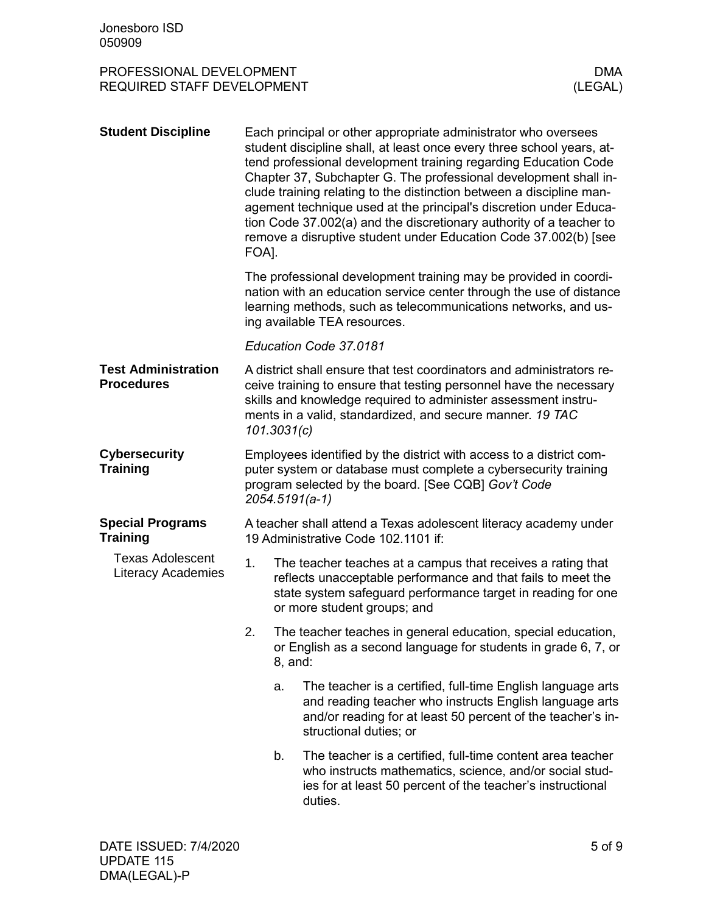| PROFESSIONAL DEVELOPMENT   | DMA     |
|----------------------------|---------|
| REQUIRED STAFF DEVELOPMENT | (LEGAL) |

| <b>Student Discipline</b>                            | FOA]. |                | Each principal or other appropriate administrator who oversees<br>student discipline shall, at least once every three school years, at-<br>tend professional development training regarding Education Code<br>Chapter 37, Subchapter G. The professional development shall in-<br>clude training relating to the distinction between a discipline man-<br>agement technique used at the principal's discretion under Educa-<br>tion Code 37.002(a) and the discretionary authority of a teacher to<br>remove a disruptive student under Education Code 37.002(b) [see |
|------------------------------------------------------|-------|----------------|-----------------------------------------------------------------------------------------------------------------------------------------------------------------------------------------------------------------------------------------------------------------------------------------------------------------------------------------------------------------------------------------------------------------------------------------------------------------------------------------------------------------------------------------------------------------------|
|                                                      |       |                | The professional development training may be provided in coordi-<br>nation with an education service center through the use of distance<br>learning methods, such as telecommunications networks, and us-<br>ing available TEA resources.                                                                                                                                                                                                                                                                                                                             |
|                                                      |       |                | Education Code 37.0181                                                                                                                                                                                                                                                                                                                                                                                                                                                                                                                                                |
| <b>Test Administration</b><br><b>Procedures</b>      |       | 101.3031(c)    | A district shall ensure that test coordinators and administrators re-<br>ceive training to ensure that testing personnel have the necessary<br>skills and knowledge required to administer assessment instru-<br>ments in a valid, standardized, and secure manner. 19 TAC                                                                                                                                                                                                                                                                                            |
| <b>Cybersecurity</b><br><b>Training</b>              |       | 2054.5191(a-1) | Employees identified by the district with access to a district com-<br>puter system or database must complete a cybersecurity training<br>program selected by the board. [See CQB] Gov't Code                                                                                                                                                                                                                                                                                                                                                                         |
| <b>Special Programs</b><br><b>Training</b>           |       |                | A teacher shall attend a Texas adolescent literacy academy under<br>19 Administrative Code 102.1101 if:                                                                                                                                                                                                                                                                                                                                                                                                                                                               |
| <b>Texas Adolescent</b><br><b>Literacy Academies</b> | 1.    |                | The teacher teaches at a campus that receives a rating that<br>reflects unacceptable performance and that fails to meet the<br>state system safeguard performance target in reading for one<br>or more student groups; and                                                                                                                                                                                                                                                                                                                                            |
|                                                      | 2.    | 8, and:        | The teacher teaches in general education, special education,<br>or English as a second language for students in grade 6, 7, or                                                                                                                                                                                                                                                                                                                                                                                                                                        |
|                                                      |       | a.             | The teacher is a certified, full-time English language arts<br>and reading teacher who instructs English language arts<br>and/or reading for at least 50 percent of the teacher's in-<br>structional duties; or                                                                                                                                                                                                                                                                                                                                                       |
|                                                      |       | b.             | The teacher is a certified, full-time content area teacher<br>who instructs mathematics, science, and/or social stud-<br>ies for at least 50 percent of the teacher's instructional<br>duties.                                                                                                                                                                                                                                                                                                                                                                        |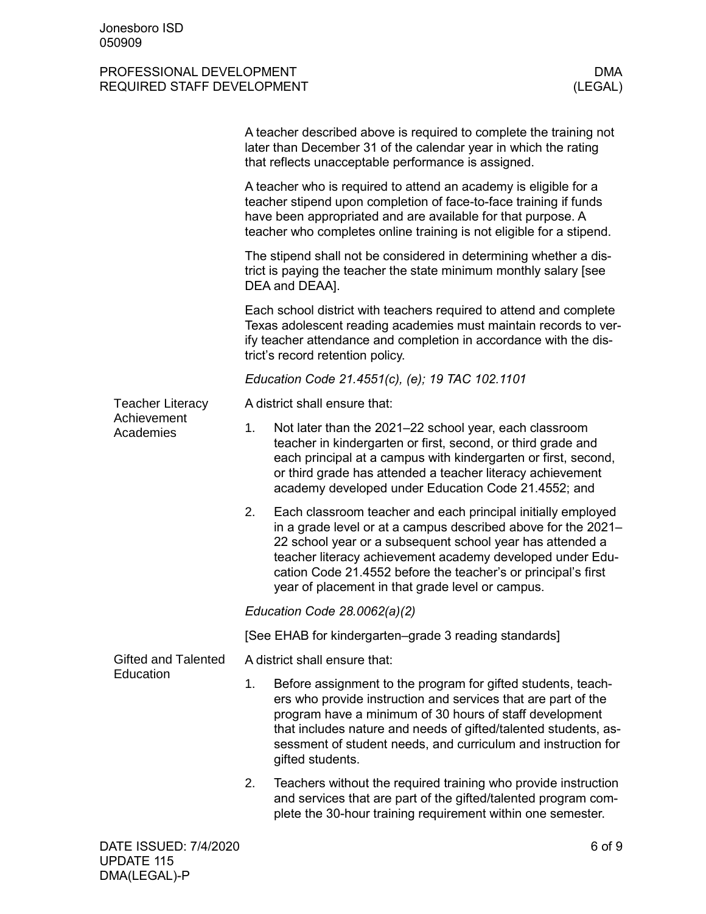|                            |                                                                                                                                                                                                                                                                               | A teacher described above is required to complete the training not<br>later than December 31 of the calendar year in which the rating<br>that reflects unacceptable performance is assigned.                                                                                                                                                                                 |  |  |
|----------------------------|-------------------------------------------------------------------------------------------------------------------------------------------------------------------------------------------------------------------------------------------------------------------------------|------------------------------------------------------------------------------------------------------------------------------------------------------------------------------------------------------------------------------------------------------------------------------------------------------------------------------------------------------------------------------|--|--|
|                            | A teacher who is required to attend an academy is eligible for a<br>teacher stipend upon completion of face-to-face training if funds<br>have been appropriated and are available for that purpose. A<br>teacher who completes online training is not eligible for a stipend. |                                                                                                                                                                                                                                                                                                                                                                              |  |  |
|                            |                                                                                                                                                                                                                                                                               | The stipend shall not be considered in determining whether a dis-<br>trict is paying the teacher the state minimum monthly salary [see<br>DEA and DEAA].                                                                                                                                                                                                                     |  |  |
|                            | Each school district with teachers required to attend and complete<br>Texas adolescent reading academies must maintain records to ver-<br>ify teacher attendance and completion in accordance with the dis-<br>trict's record retention policy.                               |                                                                                                                                                                                                                                                                                                                                                                              |  |  |
|                            |                                                                                                                                                                                                                                                                               | Education Code 21.4551(c), (e); 19 TAC 102.1101                                                                                                                                                                                                                                                                                                                              |  |  |
| <b>Teacher Literacy</b>    |                                                                                                                                                                                                                                                                               | A district shall ensure that:                                                                                                                                                                                                                                                                                                                                                |  |  |
| Achievement<br>Academies   | 1.                                                                                                                                                                                                                                                                            | Not later than the 2021-22 school year, each classroom<br>teacher in kindergarten or first, second, or third grade and<br>each principal at a campus with kindergarten or first, second,<br>or third grade has attended a teacher literacy achievement<br>academy developed under Education Code 21.4552; and                                                                |  |  |
|                            | 2.                                                                                                                                                                                                                                                                            | Each classroom teacher and each principal initially employed<br>in a grade level or at a campus described above for the 2021-<br>22 school year or a subsequent school year has attended a<br>teacher literacy achievement academy developed under Edu-<br>cation Code 21.4552 before the teacher's or principal's first<br>year of placement in that grade level or campus. |  |  |
|                            | Education Code 28.0062(a)(2)                                                                                                                                                                                                                                                  |                                                                                                                                                                                                                                                                                                                                                                              |  |  |
|                            |                                                                                                                                                                                                                                                                               | [See EHAB for kindergarten-grade 3 reading standards]                                                                                                                                                                                                                                                                                                                        |  |  |
| <b>Gifted and Talented</b> |                                                                                                                                                                                                                                                                               | A district shall ensure that:                                                                                                                                                                                                                                                                                                                                                |  |  |
| Education                  | 1.                                                                                                                                                                                                                                                                            | Before assignment to the program for gifted students, teach-<br>ers who provide instruction and services that are part of the<br>program have a minimum of 30 hours of staff development<br>that includes nature and needs of gifted/talented students, as-<br>sessment of student needs, and curriculum and instruction for<br>gifted students.                             |  |  |
|                            | 2.                                                                                                                                                                                                                                                                            | Teachers without the required training who provide instruction<br>and services that are part of the gifted/talented program com-<br>plete the 30-hour training requirement within one semester.                                                                                                                                                                              |  |  |
| DATE ISSUED: 7/4/2020      |                                                                                                                                                                                                                                                                               | 6 of 9                                                                                                                                                                                                                                                                                                                                                                       |  |  |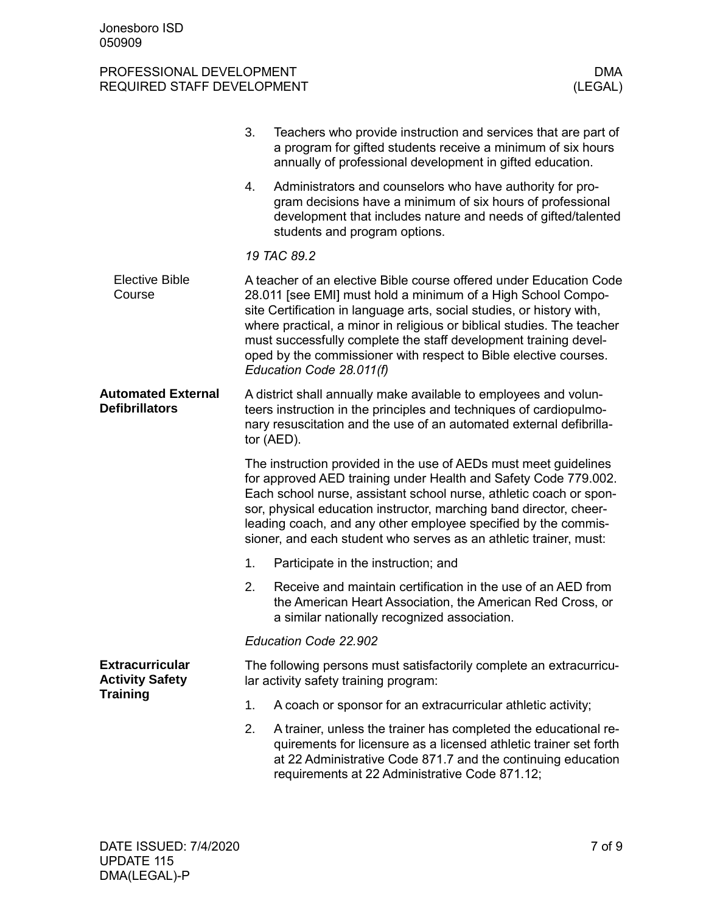|                                                    | 3.                                                                                                                                                                                                                                                                                                                                                                                                                     | Teachers who provide instruction and services that are part of<br>a program for gifted students receive a minimum of six hours<br>annually of professional development in gifted education.                                                                                                                                                                                                                                                               |  |
|----------------------------------------------------|------------------------------------------------------------------------------------------------------------------------------------------------------------------------------------------------------------------------------------------------------------------------------------------------------------------------------------------------------------------------------------------------------------------------|-----------------------------------------------------------------------------------------------------------------------------------------------------------------------------------------------------------------------------------------------------------------------------------------------------------------------------------------------------------------------------------------------------------------------------------------------------------|--|
|                                                    | 4.                                                                                                                                                                                                                                                                                                                                                                                                                     | Administrators and counselors who have authority for pro-<br>gram decisions have a minimum of six hours of professional<br>development that includes nature and needs of gifted/talented<br>students and program options.                                                                                                                                                                                                                                 |  |
|                                                    |                                                                                                                                                                                                                                                                                                                                                                                                                        | 19 TAC 89.2                                                                                                                                                                                                                                                                                                                                                                                                                                               |  |
| <b>Elective Bible</b><br>Course                    |                                                                                                                                                                                                                                                                                                                                                                                                                        | A teacher of an elective Bible course offered under Education Code<br>28.011 [see EMI] must hold a minimum of a High School Compo-<br>site Certification in language arts, social studies, or history with,<br>where practical, a minor in religious or biblical studies. The teacher<br>must successfully complete the staff development training devel-<br>oped by the commissioner with respect to Bible elective courses.<br>Education Code 28.011(f) |  |
| <b>Automated External</b><br><b>Defibrillators</b> |                                                                                                                                                                                                                                                                                                                                                                                                                        | A district shall annually make available to employees and volun-<br>teers instruction in the principles and techniques of cardiopulmo-<br>nary resuscitation and the use of an automated external defibrilla-<br>tor (AED).                                                                                                                                                                                                                               |  |
|                                                    | The instruction provided in the use of AEDs must meet guidelines<br>for approved AED training under Health and Safety Code 779.002.<br>Each school nurse, assistant school nurse, athletic coach or spon-<br>sor, physical education instructor, marching band director, cheer-<br>leading coach, and any other employee specified by the commis-<br>sioner, and each student who serves as an athletic trainer, must: |                                                                                                                                                                                                                                                                                                                                                                                                                                                           |  |
|                                                    | 1.                                                                                                                                                                                                                                                                                                                                                                                                                     | Participate in the instruction; and                                                                                                                                                                                                                                                                                                                                                                                                                       |  |
|                                                    | 2.                                                                                                                                                                                                                                                                                                                                                                                                                     | Receive and maintain certification in the use of an AED from<br>the American Heart Association, the American Red Cross, or<br>a similar nationally recognized association.                                                                                                                                                                                                                                                                                |  |
|                                                    |                                                                                                                                                                                                                                                                                                                                                                                                                        | Education Code 22.902                                                                                                                                                                                                                                                                                                                                                                                                                                     |  |
| <b>Extracurricular</b><br><b>Activity Safety</b>   | The following persons must satisfactorily complete an extracurricu-<br>lar activity safety training program:                                                                                                                                                                                                                                                                                                           |                                                                                                                                                                                                                                                                                                                                                                                                                                                           |  |
| <b>Training</b>                                    | 1.                                                                                                                                                                                                                                                                                                                                                                                                                     | A coach or sponsor for an extracurricular athletic activity;                                                                                                                                                                                                                                                                                                                                                                                              |  |
|                                                    | 2.                                                                                                                                                                                                                                                                                                                                                                                                                     | A trainer, unless the trainer has completed the educational re-<br>quirements for licensure as a licensed athletic trainer set forth<br>at 22 Administrative Code 871.7 and the continuing education<br>requirements at 22 Administrative Code 871.12;                                                                                                                                                                                                    |  |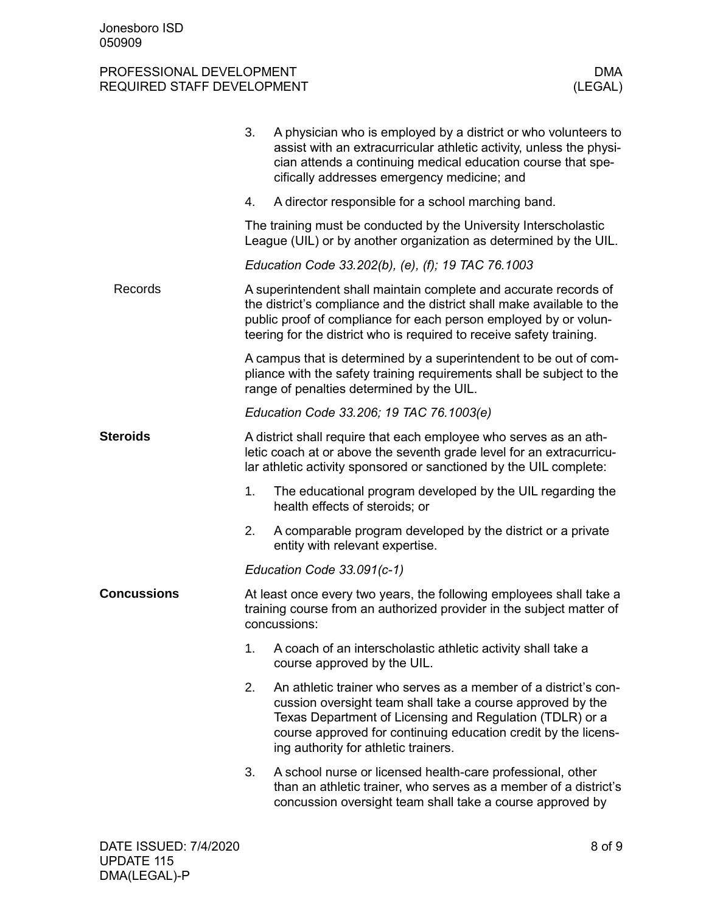|                    | 3. | A physician who is employed by a district or who volunteers to<br>assist with an extracurricular athletic activity, unless the physi-<br>cian attends a continuing medical education course that spe-<br>cifically addresses emergency medicine; and                                                |
|--------------------|----|-----------------------------------------------------------------------------------------------------------------------------------------------------------------------------------------------------------------------------------------------------------------------------------------------------|
|                    | 4. | A director responsible for a school marching band.                                                                                                                                                                                                                                                  |
|                    |    | The training must be conducted by the University Interscholastic<br>League (UIL) or by another organization as determined by the UIL.                                                                                                                                                               |
|                    |    | Education Code 33.202(b), (e), (f); 19 TAC 76.1003                                                                                                                                                                                                                                                  |
| Records            |    | A superintendent shall maintain complete and accurate records of<br>the district's compliance and the district shall make available to the<br>public proof of compliance for each person employed by or volun-<br>teering for the district who is required to receive safety training.              |
|                    |    | A campus that is determined by a superintendent to be out of com-<br>pliance with the safety training requirements shall be subject to the<br>range of penalties determined by the UIL.                                                                                                             |
|                    |    | Education Code 33.206; 19 TAC 76.1003(e)                                                                                                                                                                                                                                                            |
| <b>Steroids</b>    |    | A district shall require that each employee who serves as an ath-<br>letic coach at or above the seventh grade level for an extracurricu-<br>lar athletic activity sponsored or sanctioned by the UIL complete:                                                                                     |
|                    | 1. | The educational program developed by the UIL regarding the<br>health effects of steroids; or                                                                                                                                                                                                        |
|                    | 2. | A comparable program developed by the district or a private<br>entity with relevant expertise.                                                                                                                                                                                                      |
|                    |    | Education Code 33.091(c-1)                                                                                                                                                                                                                                                                          |
| <b>Concussions</b> |    | At least once every two years, the following employees shall take a<br>training course from an authorized provider in the subject matter of<br>concussions:                                                                                                                                         |
|                    | 1. | A coach of an interscholastic athletic activity shall take a<br>course approved by the UIL.                                                                                                                                                                                                         |
|                    | 2. | An athletic trainer who serves as a member of a district's con-<br>cussion oversight team shall take a course approved by the<br>Texas Department of Licensing and Regulation (TDLR) or a<br>course approved for continuing education credit by the licens-<br>ing authority for athletic trainers. |
|                    | 3. | A school nurse or licensed health-care professional, other<br>than an athletic trainer, who serves as a member of a district's<br>concussion oversight team shall take a course approved by                                                                                                         |
|                    |    |                                                                                                                                                                                                                                                                                                     |